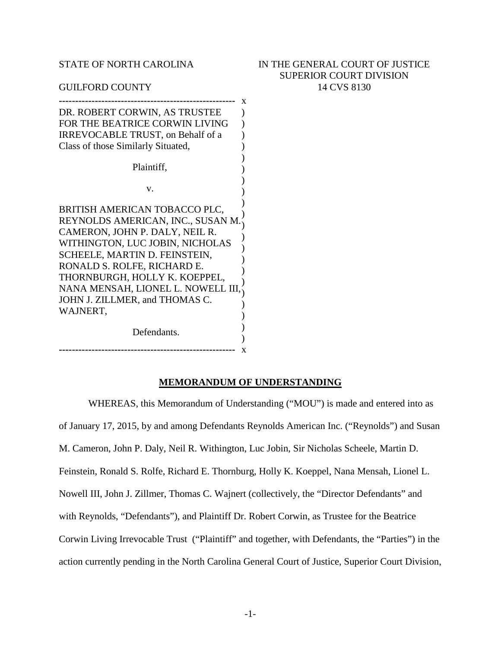STATE OF NORTH CAROLINA

GUILFORD COUNTY

## IN THE GENERAL COURT OF JUSTICE SUPERIOR COURT DIVISION 14 CVS 8130

| DR. ROBERT CORWIN, AS TRUSTEE      |  |
|------------------------------------|--|
| FOR THE BEATRICE CORWIN LIVING     |  |
| IRREVOCABLE TRUST, on Behalf of a  |  |
| Class of those Similarly Situated, |  |
|                                    |  |
| Plaintiff,                         |  |
|                                    |  |
| V.                                 |  |
| BRITISH AMERICAN TOBACCO PLC,      |  |
|                                    |  |
| REYNOLDS AMERICAN, INC., SUSAN M.  |  |
| CAMERON, JOHN P. DALY, NEIL R.     |  |
| WITHINGTON, LUC JOBIN, NICHOLAS    |  |
| SCHEELE, MARTIN D. FEINSTEIN,      |  |
| RONALD S. ROLFE, RICHARD E.        |  |
| THORNBURGH, HOLLY K. KOEPPEL,      |  |
| NANA MENSAH, LIONEL L. NOWELL III, |  |
| JOHN J. ZILLMER, and THOMAS C.     |  |
| WAJNERT,                           |  |
|                                    |  |
| Defendants.                        |  |
|                                    |  |
|                                    |  |

## **MEMORANDUM OF UNDERSTANDING**

WHEREAS, this Memorandum of Understanding ("MOU") is made and entered into as of January 17, 2015, by and among Defendants Reynolds American Inc. ("Reynolds") and Susan M. Cameron, John P. Daly, Neil R. Withington, Luc Jobin, Sir Nicholas Scheele, Martin D. Feinstein, Ronald S. Rolfe, Richard E. Thornburg, Holly K. Koeppel, Nana Mensah, Lionel L. Nowell III, John J. Zillmer, Thomas C. Wajnert (collectively, the "Director Defendants" and with Reynolds, "Defendants"), and Plaintiff Dr. Robert Corwin, as Trustee for the Beatrice Corwin Living Irrevocable Trust ("Plaintiff" and together, with Defendants, the "Parties") in the action currently pending in the North Carolina General Court of Justice, Superior Court Division,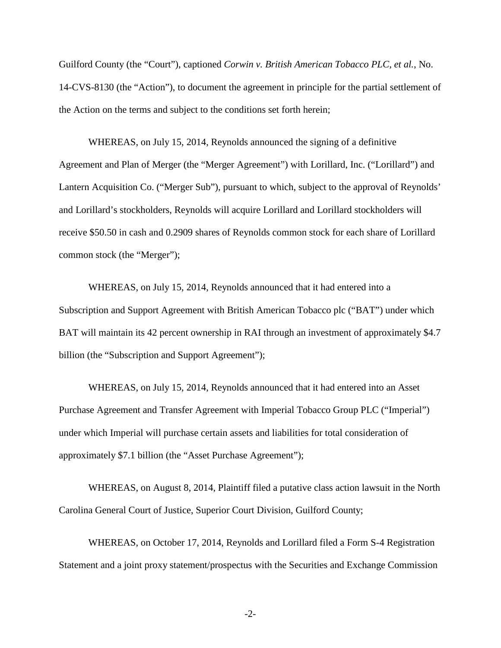Guilford County (the "Court"), captioned *Corwin v. British American Tobacco PLC, et al.*, No. 14-CVS-8130 (the "Action"), to document the agreement in principle for the partial settlement of the Action on the terms and subject to the conditions set forth herein;

WHEREAS, on July 15, 2014, Reynolds announced the signing of a definitive Agreement and Plan of Merger (the "Merger Agreement") with Lorillard, Inc. ("Lorillard") and Lantern Acquisition Co. ("Merger Sub"), pursuant to which, subject to the approval of Reynolds' and Lorillard's stockholders, Reynolds will acquire Lorillard and Lorillard stockholders will receive \$50.50 in cash and 0.2909 shares of Reynolds common stock for each share of Lorillard common stock (the "Merger");

WHEREAS, on July 15, 2014, Reynolds announced that it had entered into a Subscription and Support Agreement with British American Tobacco plc ("BAT") under which BAT will maintain its 42 percent ownership in RAI through an investment of approximately \$4.7 billion (the "Subscription and Support Agreement");

WHEREAS, on July 15, 2014, Reynolds announced that it had entered into an Asset Purchase Agreement and Transfer Agreement with Imperial Tobacco Group PLC ("Imperial") under which Imperial will purchase certain assets and liabilities for total consideration of approximately \$7.1 billion (the "Asset Purchase Agreement");

WHEREAS, on August 8, 2014, Plaintiff filed a putative class action lawsuit in the North Carolina General Court of Justice, Superior Court Division, Guilford County;

WHEREAS, on October 17, 2014, Reynolds and Lorillard filed a Form S-4 Registration Statement and a joint proxy statement/prospectus with the Securities and Exchange Commission

 $-2$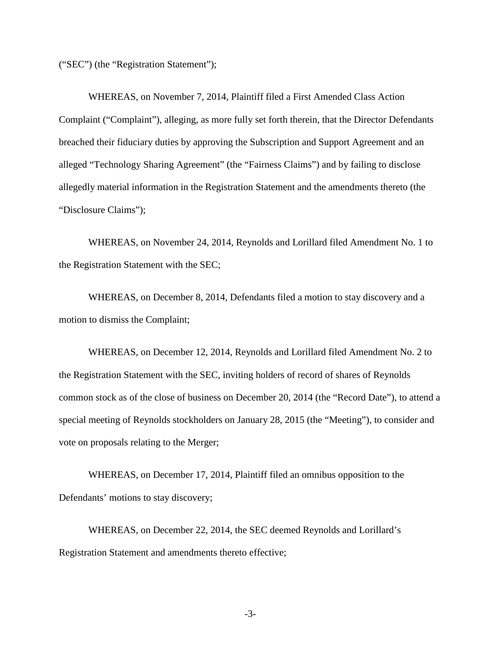("SEC") (the "Registration Statement");

WHEREAS, on November 7, 2014, Plaintiff filed a First Amended Class Action Complaint ("Complaint"), alleging, as more fully set forth therein, that the Director Defendants breached their fiduciary duties by approving the Subscription and Support Agreement and an alleged "Technology Sharing Agreement" (the "Fairness Claims") and by failing to disclose allegedly material information in the Registration Statement and the amendments thereto (the "Disclosure Claims");

WHEREAS, on November 24, 2014, Reynolds and Lorillard filed Amendment No. 1 to the Registration Statement with the SEC;

WHEREAS, on December 8, 2014, Defendants filed a motion to stay discovery and a motion to dismiss the Complaint;

WHEREAS, on December 12, 2014, Reynolds and Lorillard filed Amendment No. 2 to the Registration Statement with the SEC, inviting holders of record of shares of Reynolds common stock as of the close of business on December 20, 2014 (the "Record Date"), to attend a special meeting of Reynolds stockholders on January 28, 2015 (the "Meeting"), to consider and vote on proposals relating to the Merger;

WHEREAS, on December 17, 2014, Plaintiff filed an omnibus opposition to the Defendants' motions to stay discovery;

WHEREAS, on December 22, 2014, the SEC deemed Reynolds and Lorillard's Registration Statement and amendments thereto effective;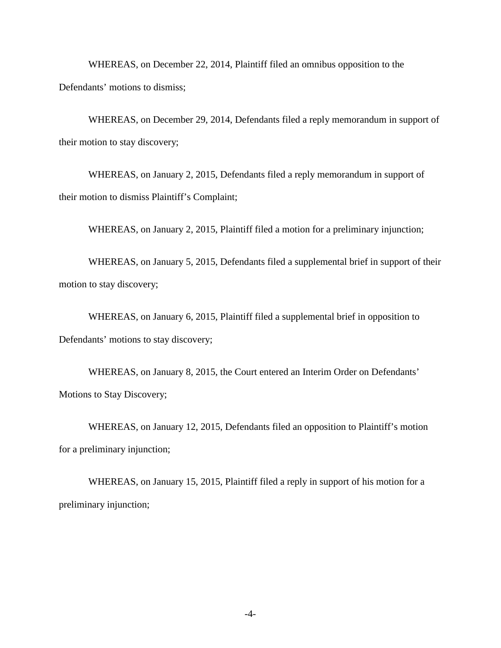WHEREAS, on December 22, 2014, Plaintiff filed an omnibus opposition to the Defendants' motions to dismiss;

WHEREAS, on December 29, 2014, Defendants filed a reply memorandum in support of their motion to stay discovery;

WHEREAS, on January 2, 2015, Defendants filed a reply memorandum in support of their motion to dismiss Plaintiff's Complaint;

WHEREAS, on January 2, 2015, Plaintiff filed a motion for a preliminary injunction;

WHEREAS, on January 5, 2015, Defendants filed a supplemental brief in support of their motion to stay discovery;

WHEREAS, on January 6, 2015, Plaintiff filed a supplemental brief in opposition to Defendants' motions to stay discovery;

WHEREAS, on January 8, 2015, the Court entered an Interim Order on Defendants' Motions to Stay Discovery;

WHEREAS, on January 12, 2015, Defendants filed an opposition to Plaintiff's motion for a preliminary injunction;

WHEREAS, on January 15, 2015, Plaintiff filed a reply in support of his motion for a preliminary injunction;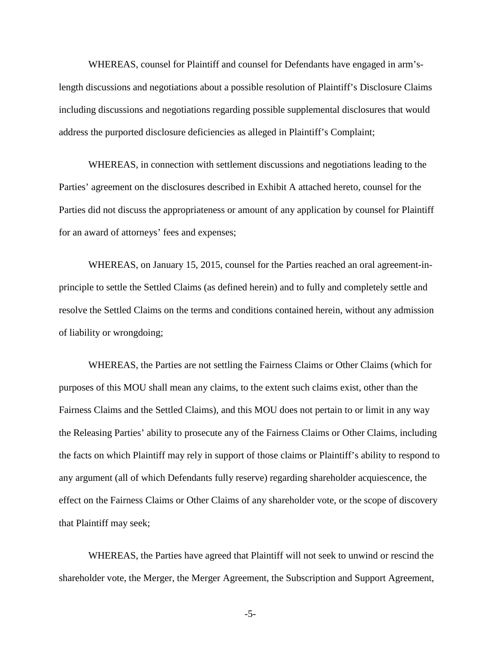WHEREAS, counsel for Plaintiff and counsel for Defendants have engaged in arm'slength discussions and negotiations about a possible resolution of Plaintiff's Disclosure Claims including discussions and negotiations regarding possible supplemental disclosures that would address the purported disclosure deficiencies as alleged in Plaintiff's Complaint;

WHEREAS, in connection with settlement discussions and negotiations leading to the Parties' agreement on the disclosures described in Exhibit A attached hereto, counsel for the Parties did not discuss the appropriateness or amount of any application by counsel for Plaintiff for an award of attorneys' fees and expenses;

WHEREAS, on January 15, 2015, counsel for the Parties reached an oral agreement-inprinciple to settle the Settled Claims (as defined herein) and to fully and completely settle and resolve the Settled Claims on the terms and conditions contained herein, without any admission of liability or wrongdoing;

WHEREAS, the Parties are not settling the Fairness Claims or Other Claims (which for purposes of this MOU shall mean any claims, to the extent such claims exist, other than the Fairness Claims and the Settled Claims), and this MOU does not pertain to or limit in any way the Releasing Parties' ability to prosecute any of the Fairness Claims or Other Claims, including the facts on which Plaintiff may rely in support of those claims or Plaintiff's ability to respond to any argument (all of which Defendants fully reserve) regarding shareholder acquiescence, the effect on the Fairness Claims or Other Claims of any shareholder vote, or the scope of discovery that Plaintiff may seek;

WHEREAS, the Parties have agreed that Plaintiff will not seek to unwind or rescind the shareholder vote, the Merger, the Merger Agreement, the Subscription and Support Agreement,

-5-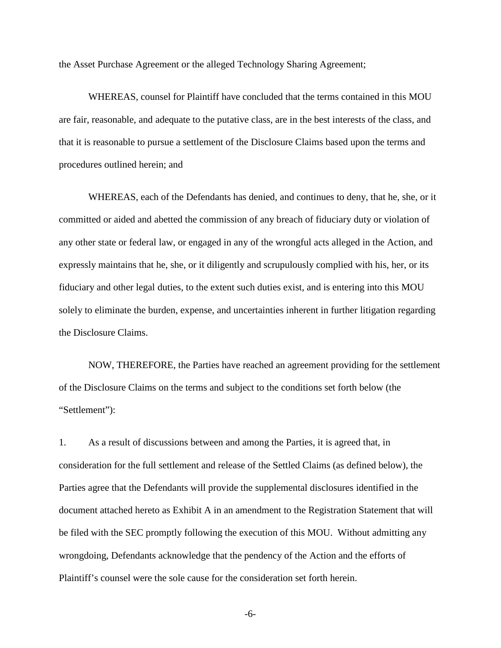the Asset Purchase Agreement or the alleged Technology Sharing Agreement;

WHEREAS, counsel for Plaintiff have concluded that the terms contained in this MOU are fair, reasonable, and adequate to the putative class, are in the best interests of the class, and that it is reasonable to pursue a settlement of the Disclosure Claims based upon the terms and procedures outlined herein; and

WHEREAS, each of the Defendants has denied, and continues to deny, that he, she, or it committed or aided and abetted the commission of any breach of fiduciary duty or violation of any other state or federal law, or engaged in any of the wrongful acts alleged in the Action, and expressly maintains that he, she, or it diligently and scrupulously complied with his, her, or its fiduciary and other legal duties, to the extent such duties exist, and is entering into this MOU solely to eliminate the burden, expense, and uncertainties inherent in further litigation regarding the Disclosure Claims.

NOW, THEREFORE, the Parties have reached an agreement providing for the settlement of the Disclosure Claims on the terms and subject to the conditions set forth below (the "Settlement"):

1. As a result of discussions between and among the Parties, it is agreed that, in consideration for the full settlement and release of the Settled Claims (as defined below), the Parties agree that the Defendants will provide the supplemental disclosures identified in the document attached hereto as Exhibit A in an amendment to the Registration Statement that will be filed with the SEC promptly following the execution of this MOU. Without admitting any wrongdoing, Defendants acknowledge that the pendency of the Action and the efforts of Plaintiff's counsel were the sole cause for the consideration set forth herein.

-6-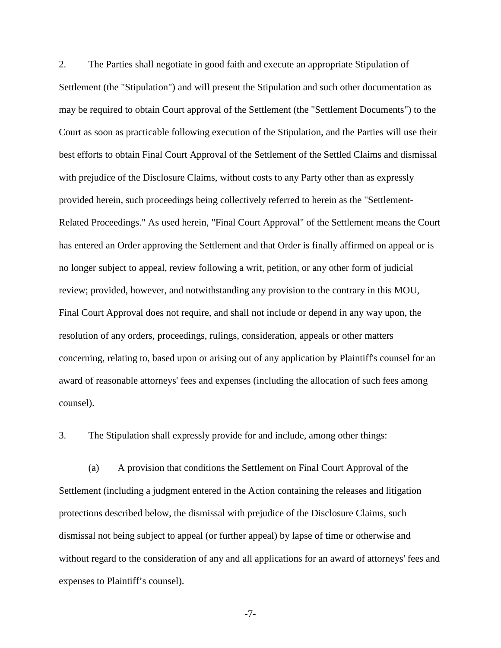2. The Parties shall negotiate in good faith and execute an appropriate Stipulation of Settlement (the "Stipulation") and will present the Stipulation and such other documentation as may be required to obtain Court approval of the Settlement (the "Settlement Documents") to the Court as soon as practicable following execution of the Stipulation, and the Parties will use their best efforts to obtain Final Court Approval of the Settlement of the Settled Claims and dismissal with prejudice of the Disclosure Claims, without costs to any Party other than as expressly provided herein, such proceedings being collectively referred to herein as the "Settlement-Related Proceedings." As used herein, "Final Court Approval" of the Settlement means the Court has entered an Order approving the Settlement and that Order is finally affirmed on appeal or is no longer subject to appeal, review following a writ, petition, or any other form of judicial review; provided, however, and notwithstanding any provision to the contrary in this MOU, Final Court Approval does not require, and shall not include or depend in any way upon, the resolution of any orders, proceedings, rulings, consideration, appeals or other matters concerning, relating to, based upon or arising out of any application by Plaintiff's counsel for an award of reasonable attorneys' fees and expenses (including the allocation of such fees among counsel).

3. The Stipulation shall expressly provide for and include, among other things:

(a) A provision that conditions the Settlement on Final Court Approval of the Settlement (including a judgment entered in the Action containing the releases and litigation protections described below, the dismissal with prejudice of the Disclosure Claims, such dismissal not being subject to appeal (or further appeal) by lapse of time or otherwise and without regard to the consideration of any and all applications for an award of attorneys' fees and expenses to Plaintiff's counsel).

-7-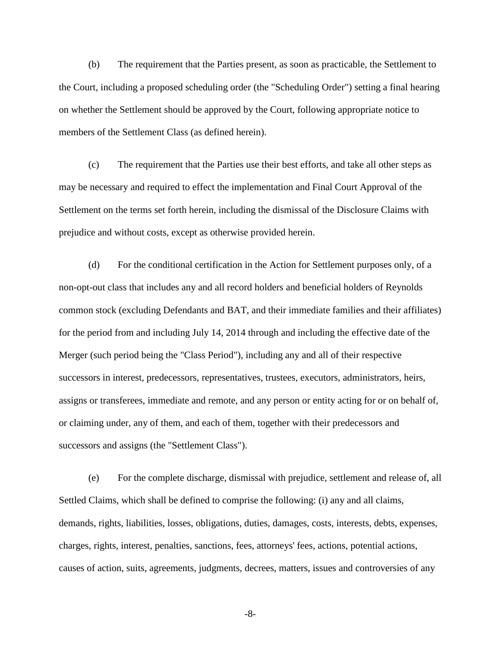(b) The requirement that the Parties present, as soon as practicable, the Settlement to the Court, including a proposed scheduling order (the "Scheduling Order") setting a final hearing on whether the Settlement should be approved by the Court, following appropriate notice to members of the Settlement Class (as defined herein).

(c) The requirement that the Parties use their best efforts, and take all other steps as may be necessary and required to effect the implementation and Final Court Approval of the Settlement on the terms set forth herein, including the dismissal of the Disclosure Claims with prejudice and without costs, except as otherwise provided herein.

(d) For the conditional certification in the Action for Settlement purposes only, of a non-opt-out class that includes any and all record holders and beneficial holders of Reynolds common stock (excluding Defendants and BAT, and their immediate families and their affiliates) for the period from and including July 14, 2014 through and including the effective date of the Merger (such period being the "Class Period"), including any and all of their respective successors in interest, predecessors, representatives, trustees, executors, administrators, heirs, assigns or transferees, immediate and remote, and any person or entity acting for or on behalf of, or claiming under, any of them, and each of them, together with their predecessors and successors and assigns (the "Settlement Class").

(e) For the complete discharge, dismissal with prejudice, settlement and release of, all Settled Claims, which shall be defined to comprise the following: (i) any and all claims, demands, rights, liabilities, losses, obligations, duties, damages, costs, interests, debts, expenses, charges, rights, interest, penalties, sanctions, fees, attorneys' fees, actions, potential actions, causes of action, suits, agreements, judgments, decrees, matters, issues and controversies of any

-8-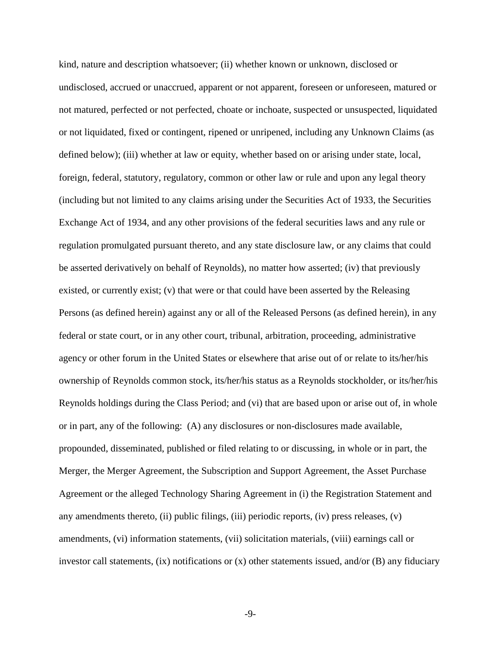kind, nature and description whatsoever; (ii) whether known or unknown, disclosed or undisclosed, accrued or unaccrued, apparent or not apparent, foreseen or unforeseen, matured or not matured, perfected or not perfected, choate or inchoate, suspected or unsuspected, liquidated or not liquidated, fixed or contingent, ripened or unripened, including any Unknown Claims (as defined below); (iii) whether at law or equity, whether based on or arising under state, local, foreign, federal, statutory, regulatory, common or other law or rule and upon any legal theory (including but not limited to any claims arising under the Securities Act of 1933, the Securities Exchange Act of 1934, and any other provisions of the federal securities laws and any rule or regulation promulgated pursuant thereto, and any state disclosure law, or any claims that could be asserted derivatively on behalf of Reynolds), no matter how asserted; (iv) that previously existed, or currently exist; (v) that were or that could have been asserted by the Releasing Persons (as defined herein) against any or all of the Released Persons (as defined herein), in any federal or state court, or in any other court, tribunal, arbitration, proceeding, administrative agency or other forum in the United States or elsewhere that arise out of or relate to its/her/his ownership of Reynolds common stock, its/her/his status as a Reynolds stockholder, or its/her/his Reynolds holdings during the Class Period; and (vi) that are based upon or arise out of, in whole or in part, any of the following: (A) any disclosures or non-disclosures made available, propounded, disseminated, published or filed relating to or discussing, in whole or in part, the Merger, the Merger Agreement, the Subscription and Support Agreement, the Asset Purchase Agreement or the alleged Technology Sharing Agreement in (i) the Registration Statement and any amendments thereto, (ii) public filings, (iii) periodic reports, (iv) press releases, (v) amendments, (vi) information statements, (vii) solicitation materials, (viii) earnings call or investor call statements,  $(ix)$  notifications or  $(x)$  other statements issued, and/or  $(B)$  any fiduciary

-9-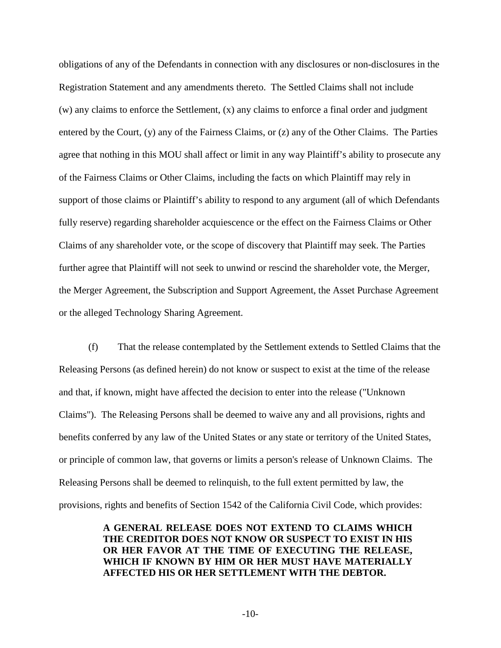obligations of any of the Defendants in connection with any disclosures or non-disclosures in the Registration Statement and any amendments thereto. The Settled Claims shall not include (w) any claims to enforce the Settlement, (x) any claims to enforce a final order and judgment entered by the Court, (y) any of the Fairness Claims, or (z) any of the Other Claims. The Parties agree that nothing in this MOU shall affect or limit in any way Plaintiff's ability to prosecute any of the Fairness Claims or Other Claims, including the facts on which Plaintiff may rely in support of those claims or Plaintiff's ability to respond to any argument (all of which Defendants fully reserve) regarding shareholder acquiescence or the effect on the Fairness Claims or Other Claims of any shareholder vote, or the scope of discovery that Plaintiff may seek. The Parties further agree that Plaintiff will not seek to unwind or rescind the shareholder vote, the Merger, the Merger Agreement, the Subscription and Support Agreement, the Asset Purchase Agreement or the alleged Technology Sharing Agreement.

(f) That the release contemplated by the Settlement extends to Settled Claims that the Releasing Persons (as defined herein) do not know or suspect to exist at the time of the release and that, if known, might have affected the decision to enter into the release ("Unknown Claims"). The Releasing Persons shall be deemed to waive any and all provisions, rights and benefits conferred by any law of the United States or any state or territory of the United States, or principle of common law, that governs or limits a person's release of Unknown Claims. The Releasing Persons shall be deemed to relinquish, to the full extent permitted by law, the provisions, rights and benefits of Section 1542 of the California Civil Code, which provides:

## **A GENERAL RELEASE DOES NOT EXTEND TO CLAIMS WHICH THE CREDITOR DOES NOT KNOW OR SUSPECT TO EXIST IN HIS OR HER FAVOR AT THE TIME OF EXECUTING THE RELEASE, WHICH IF KNOWN BY HIM OR HER MUST HAVE MATERIALLY AFFECTED HIS OR HER SETTLEMENT WITH THE DEBTOR.**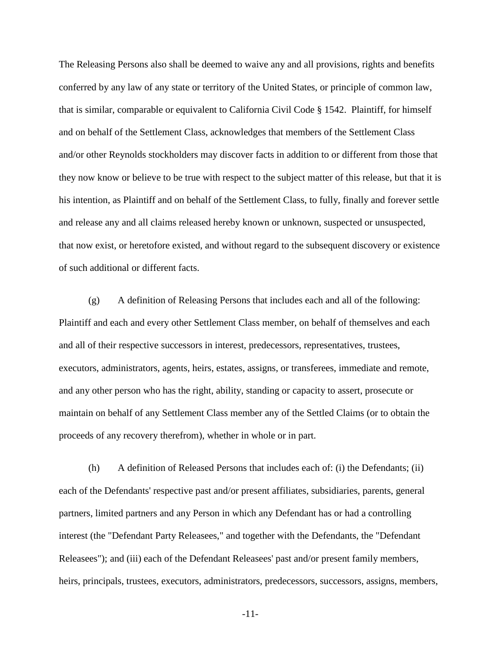The Releasing Persons also shall be deemed to waive any and all provisions, rights and benefits conferred by any law of any state or territory of the United States, or principle of common law, that is similar, comparable or equivalent to California Civil Code § 1542. Plaintiff, for himself and on behalf of the Settlement Class, acknowledges that members of the Settlement Class and/or other Reynolds stockholders may discover facts in addition to or different from those that they now know or believe to be true with respect to the subject matter of this release, but that it is his intention, as Plaintiff and on behalf of the Settlement Class, to fully, finally and forever settle and release any and all claims released hereby known or unknown, suspected or unsuspected, that now exist, or heretofore existed, and without regard to the subsequent discovery or existence of such additional or different facts.

(g) A definition of Releasing Persons that includes each and all of the following: Plaintiff and each and every other Settlement Class member, on behalf of themselves and each and all of their respective successors in interest, predecessors, representatives, trustees, executors, administrators, agents, heirs, estates, assigns, or transferees, immediate and remote, and any other person who has the right, ability, standing or capacity to assert, prosecute or maintain on behalf of any Settlement Class member any of the Settled Claims (or to obtain the proceeds of any recovery therefrom), whether in whole or in part.

(h) A definition of Released Persons that includes each of: (i) the Defendants; (ii) each of the Defendants' respective past and/or present affiliates, subsidiaries, parents, general partners, limited partners and any Person in which any Defendant has or had a controlling interest (the "Defendant Party Releasees," and together with the Defendants, the "Defendant Releasees"); and (iii) each of the Defendant Releasees' past and/or present family members, heirs, principals, trustees, executors, administrators, predecessors, successors, assigns, members,

-11-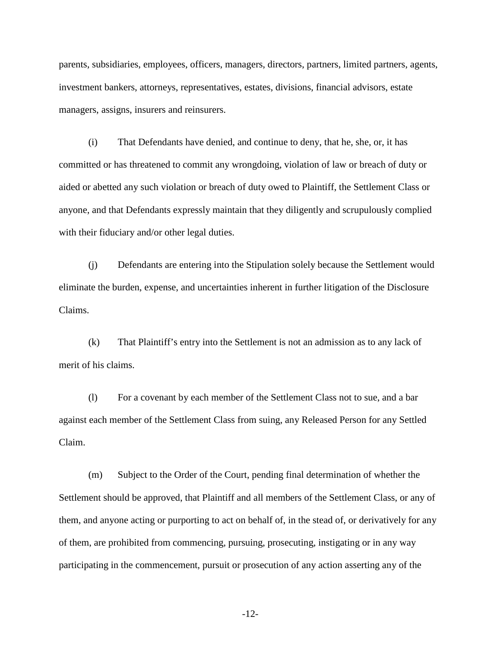parents, subsidiaries, employees, officers, managers, directors, partners, limited partners, agents, investment bankers, attorneys, representatives, estates, divisions, financial advisors, estate managers, assigns, insurers and reinsurers.

(i) That Defendants have denied, and continue to deny, that he, she, or, it has committed or has threatened to commit any wrongdoing, violation of law or breach of duty or aided or abetted any such violation or breach of duty owed to Plaintiff, the Settlement Class or anyone, and that Defendants expressly maintain that they diligently and scrupulously complied with their fiduciary and/or other legal duties.

(j) Defendants are entering into the Stipulation solely because the Settlement would eliminate the burden, expense, and uncertainties inherent in further litigation of the Disclosure Claims.

(k) That Plaintiff's entry into the Settlement is not an admission as to any lack of merit of his claims.

(l) For a covenant by each member of the Settlement Class not to sue, and a bar against each member of the Settlement Class from suing, any Released Person for any Settled Claim.

(m) Subject to the Order of the Court, pending final determination of whether the Settlement should be approved, that Plaintiff and all members of the Settlement Class, or any of them, and anyone acting or purporting to act on behalf of, in the stead of, or derivatively for any of them, are prohibited from commencing, pursuing, prosecuting, instigating or in any way participating in the commencement, pursuit or prosecution of any action asserting any of the

-12-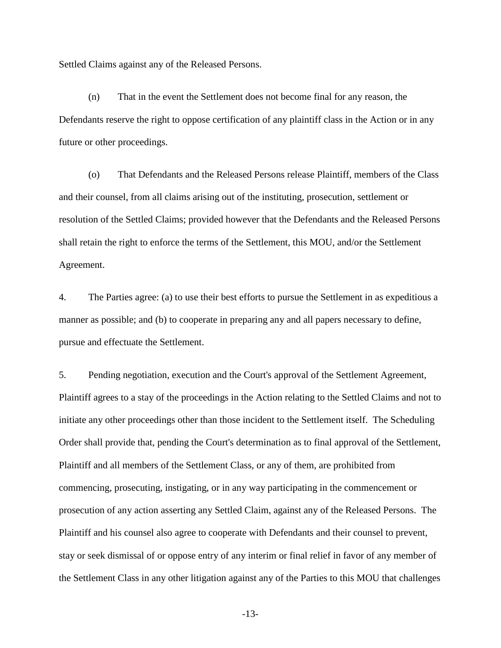Settled Claims against any of the Released Persons.

(n) That in the event the Settlement does not become final for any reason, the Defendants reserve the right to oppose certification of any plaintiff class in the Action or in any future or other proceedings.

(o) That Defendants and the Released Persons release Plaintiff, members of the Class and their counsel, from all claims arising out of the instituting, prosecution, settlement or resolution of the Settled Claims; provided however that the Defendants and the Released Persons shall retain the right to enforce the terms of the Settlement, this MOU, and/or the Settlement Agreement.

4. The Parties agree: (a) to use their best efforts to pursue the Settlement in as expeditious a manner as possible; and (b) to cooperate in preparing any and all papers necessary to define, pursue and effectuate the Settlement.

5. Pending negotiation, execution and the Court's approval of the Settlement Agreement, Plaintiff agrees to a stay of the proceedings in the Action relating to the Settled Claims and not to initiate any other proceedings other than those incident to the Settlement itself. The Scheduling Order shall provide that, pending the Court's determination as to final approval of the Settlement, Plaintiff and all members of the Settlement Class, or any of them, are prohibited from commencing, prosecuting, instigating, or in any way participating in the commencement or prosecution of any action asserting any Settled Claim, against any of the Released Persons. The Plaintiff and his counsel also agree to cooperate with Defendants and their counsel to prevent, stay or seek dismissal of or oppose entry of any interim or final relief in favor of any member of the Settlement Class in any other litigation against any of the Parties to this MOU that challenges

-13-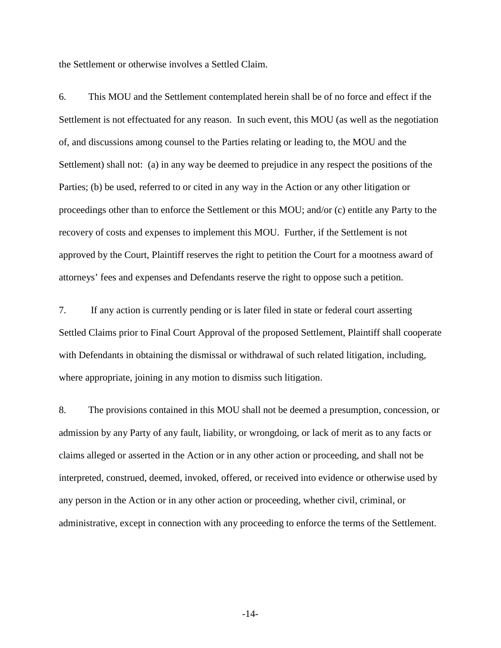the Settlement or otherwise involves a Settled Claim.

6. This MOU and the Settlement contemplated herein shall be of no force and effect if the Settlement is not effectuated for any reason. In such event, this MOU (as well as the negotiation of, and discussions among counsel to the Parties relating or leading to, the MOU and the Settlement) shall not: (a) in any way be deemed to prejudice in any respect the positions of the Parties; (b) be used, referred to or cited in any way in the Action or any other litigation or proceedings other than to enforce the Settlement or this MOU; and/or (c) entitle any Party to the recovery of costs and expenses to implement this MOU. Further, if the Settlement is not approved by the Court, Plaintiff reserves the right to petition the Court for a mootness award of attorneys' fees and expenses and Defendants reserve the right to oppose such a petition.

7. If any action is currently pending or is later filed in state or federal court asserting Settled Claims prior to Final Court Approval of the proposed Settlement, Plaintiff shall cooperate with Defendants in obtaining the dismissal or withdrawal of such related litigation, including, where appropriate, joining in any motion to dismiss such litigation.

8. The provisions contained in this MOU shall not be deemed a presumption, concession, or admission by any Party of any fault, liability, or wrongdoing, or lack of merit as to any facts or claims alleged or asserted in the Action or in any other action or proceeding, and shall not be interpreted, construed, deemed, invoked, offered, or received into evidence or otherwise used by any person in the Action or in any other action or proceeding, whether civil, criminal, or administrative, except in connection with any proceeding to enforce the terms of the Settlement.

-14-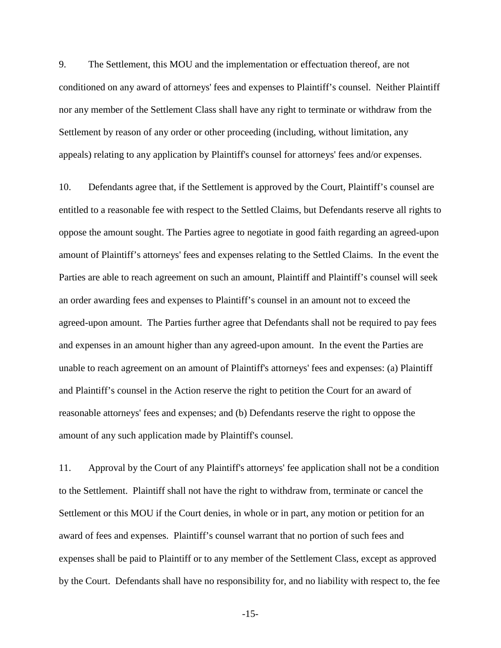9. The Settlement, this MOU and the implementation or effectuation thereof, are not conditioned on any award of attorneys' fees and expenses to Plaintiff's counsel. Neither Plaintiff nor any member of the Settlement Class shall have any right to terminate or withdraw from the Settlement by reason of any order or other proceeding (including, without limitation, any appeals) relating to any application by Plaintiff's counsel for attorneys' fees and/or expenses.

10. Defendants agree that, if the Settlement is approved by the Court, Plaintiff's counsel are entitled to a reasonable fee with respect to the Settled Claims, but Defendants reserve all rights to oppose the amount sought. The Parties agree to negotiate in good faith regarding an agreed-upon amount of Plaintiff's attorneys' fees and expenses relating to the Settled Claims. In the event the Parties are able to reach agreement on such an amount, Plaintiff and Plaintiff's counsel will seek an order awarding fees and expenses to Plaintiff's counsel in an amount not to exceed the agreed-upon amount. The Parties further agree that Defendants shall not be required to pay fees and expenses in an amount higher than any agreed-upon amount. In the event the Parties are unable to reach agreement on an amount of Plaintiff's attorneys' fees and expenses: (a) Plaintiff and Plaintiff's counsel in the Action reserve the right to petition the Court for an award of reasonable attorneys' fees and expenses; and (b) Defendants reserve the right to oppose the amount of any such application made by Plaintiff's counsel.

11. Approval by the Court of any Plaintiff's attorneys' fee application shall not be a condition to the Settlement. Plaintiff shall not have the right to withdraw from, terminate or cancel the Settlement or this MOU if the Court denies, in whole or in part, any motion or petition for an award of fees and expenses. Plaintiff's counsel warrant that no portion of such fees and expenses shall be paid to Plaintiff or to any member of the Settlement Class, except as approved by the Court. Defendants shall have no responsibility for, and no liability with respect to, the fee

-15-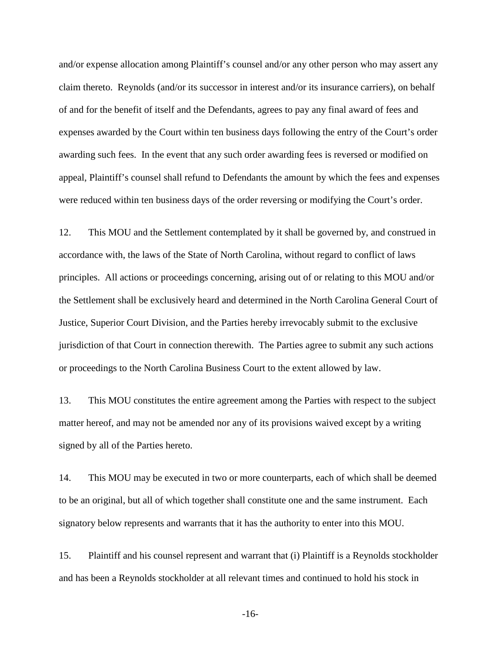and/or expense allocation among Plaintiff's counsel and/or any other person who may assert any claim thereto. Reynolds (and/or its successor in interest and/or its insurance carriers), on behalf of and for the benefit of itself and the Defendants, agrees to pay any final award of fees and expenses awarded by the Court within ten business days following the entry of the Court's order awarding such fees. In the event that any such order awarding fees is reversed or modified on appeal, Plaintiff's counsel shall refund to Defendants the amount by which the fees and expenses were reduced within ten business days of the order reversing or modifying the Court's order.

12. This MOU and the Settlement contemplated by it shall be governed by, and construed in accordance with, the laws of the State of North Carolina, without regard to conflict of laws principles. All actions or proceedings concerning, arising out of or relating to this MOU and/or the Settlement shall be exclusively heard and determined in the North Carolina General Court of Justice, Superior Court Division, and the Parties hereby irrevocably submit to the exclusive jurisdiction of that Court in connection therewith. The Parties agree to submit any such actions or proceedings to the North Carolina Business Court to the extent allowed by law.

13. This MOU constitutes the entire agreement among the Parties with respect to the subject matter hereof, and may not be amended nor any of its provisions waived except by a writing signed by all of the Parties hereto.

14. This MOU may be executed in two or more counterparts, each of which shall be deemed to be an original, but all of which together shall constitute one and the same instrument. Each signatory below represents and warrants that it has the authority to enter into this MOU.

15. Plaintiff and his counsel represent and warrant that (i) Plaintiff is a Reynolds stockholder and has been a Reynolds stockholder at all relevant times and continued to hold his stock in

-16-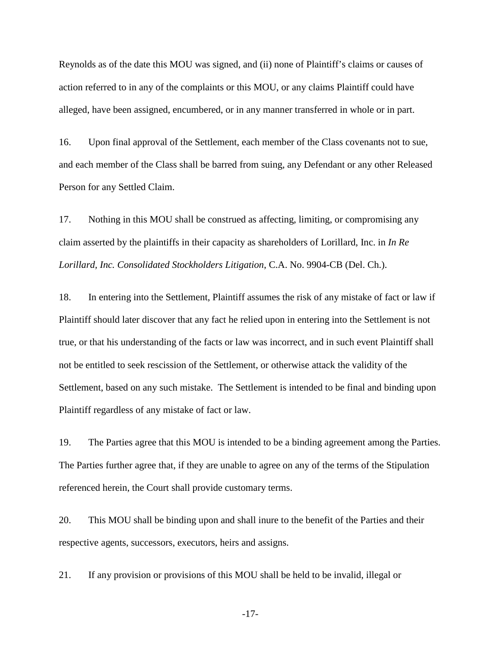Reynolds as of the date this MOU was signed, and (ii) none of Plaintiff's claims or causes of action referred to in any of the complaints or this MOU, or any claims Plaintiff could have alleged, have been assigned, encumbered, or in any manner transferred in whole or in part.

16. Upon final approval of the Settlement, each member of the Class covenants not to sue, and each member of the Class shall be barred from suing, any Defendant or any other Released Person for any Settled Claim.

17. Nothing in this MOU shall be construed as affecting, limiting, or compromising any claim asserted by the plaintiffs in their capacity as shareholders of Lorillard, Inc. in *In Re Lorillard, Inc. Consolidated Stockholders Litigation*, C.A. No. 9904-CB (Del. Ch.).

18. In entering into the Settlement, Plaintiff assumes the risk of any mistake of fact or law if Plaintiff should later discover that any fact he relied upon in entering into the Settlement is not true, or that his understanding of the facts or law was incorrect, and in such event Plaintiff shall not be entitled to seek rescission of the Settlement, or otherwise attack the validity of the Settlement, based on any such mistake. The Settlement is intended to be final and binding upon Plaintiff regardless of any mistake of fact or law.

19. The Parties agree that this MOU is intended to be a binding agreement among the Parties. The Parties further agree that, if they are unable to agree on any of the terms of the Stipulation referenced herein, the Court shall provide customary terms.

20. This MOU shall be binding upon and shall inure to the benefit of the Parties and their respective agents, successors, executors, heirs and assigns.

21. If any provision or provisions of this MOU shall be held to be invalid, illegal or

-17-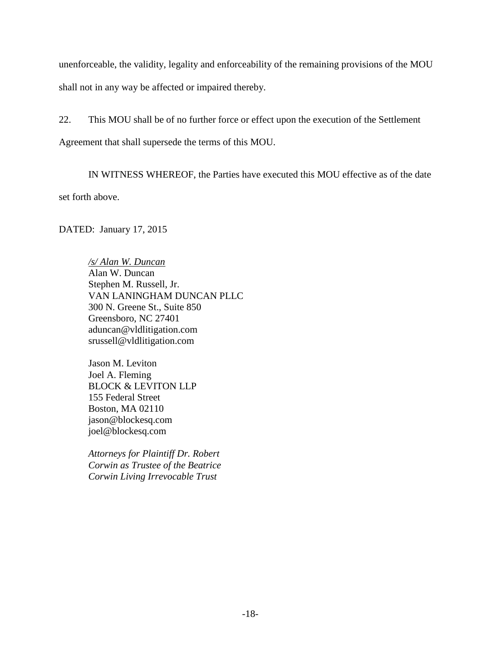unenforceable, the validity, legality and enforceability of the remaining provisions of the MOU shall not in any way be affected or impaired thereby.

22. This MOU shall be of no further force or effect upon the execution of the Settlement

Agreement that shall supersede the terms of this MOU.

IN WITNESS WHEREOF, the Parties have executed this MOU effective as of the date set forth above.

DATED: January 17, 2015

*/s/ Alan W. Duncan* Alan W. Duncan Stephen M. Russell, Jr. VAN LANINGHAM DUNCAN PLLC 300 N. Greene St., Suite 850 Greensboro, NC 27401 aduncan@vldlitigation.com srussell@vldlitigation.com

Jason M. Leviton Joel A. Fleming BLOCK & LEVITON LLP 155 Federal Street Boston, MA 02110 jason@blockesq.com joel@blockesq.com

*Attorneys for Plaintiff Dr. Robert Corwin as Trustee of the Beatrice Corwin Living Irrevocable Trust*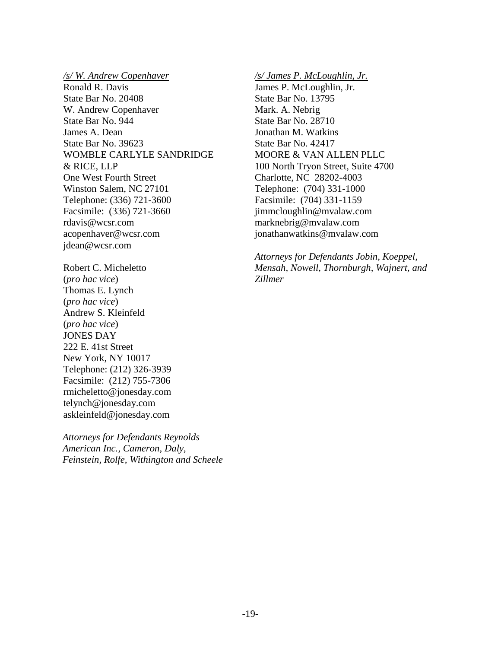*/s/ W. Andrew Copenhaver* Ronald R. Davis State Bar No. 20408 W. Andrew Copenhaver State Bar No. 944 James A. Dean State Bar No. 39623 WOMBLE CARLYLE SANDRIDGE & RICE, LLP One West Fourth Street Winston Salem, NC 27101 Telephone: (336) 721-3600 Facsimile: (336) 721-3660 rdavis@wcsr.com acopenhaver@wcsr.com jdean@wcsr.com

Robert C. Micheletto (*pro hac vice*) Thomas E. Lynch (*pro hac vice*) Andrew S. Kleinfeld (*pro hac vice*) JONES DAY 222 E. 41st Street New York, NY 10017 Telephone: (212) 326-3939 Facsimile: (212) 755-7306 rmicheletto@jonesday.com telynch@jonesday.com askleinfeld@jonesday.com

*Attorneys for Defendants Reynolds American Inc., Cameron, Daly, Feinstein, Rolfe, Withington and Scheele* */s/ James P. McLoughlin, Jr.* James P. McLoughlin, Jr. State Bar No. 13795 Mark. A. Nebrig State Bar No. 28710 Jonathan M. Watkins State Bar No. 42417 MOORE & VAN ALLEN PLLC 100 North Tryon Street, Suite 4700 Charlotte, NC 28202-4003 Telephone: (704) 331-1000 Facsimile: (704) 331-1159 jimmcloughlin@mvalaw.com marknebrig@mvalaw.com jonathanwatkins@mvalaw.com

*Attorneys for Defendants Jobin, Koeppel, Mensah, Nowell, Thornburgh, Wajnert, and Zillmer*